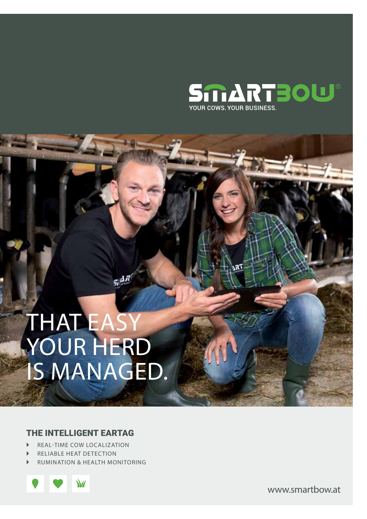

# THAT EASY YOUR HERD IS MANAGED.

#### THE intelligent EARTAG

- REAL-TIME COW LOCALIZATION
- RELIABLE HEAT DETECTION
- ` RUMINATION & HEALTH MONITORING



www.smartbow.at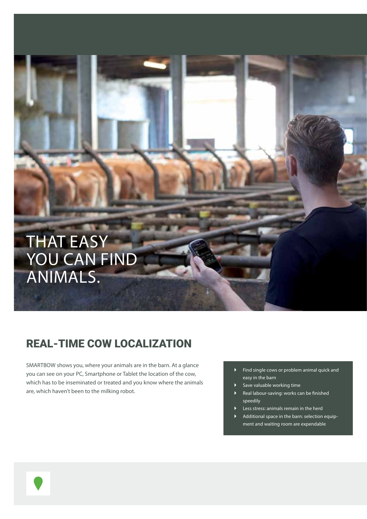## THAT EASY YOU CAN FIND ANIMALS.

## REAL-TIME COW LOCALIZATION

SMARTBOW shows you, where your animals are in the barn. At a glance you can see on your PC, Smartphone or Tablet the location of the cow, which has to be inseminated or treated and you know where the animals are, which haven't been to the milking robot.

- ` Find single cows or problem animal quick and easy in the barn
	- Save valuable working time
- ` Real labour-saving: works can be finished speedily
- Less stress: animals remain in the herd
- ` Additional space in the barn: selection equipment and waiting room are expendable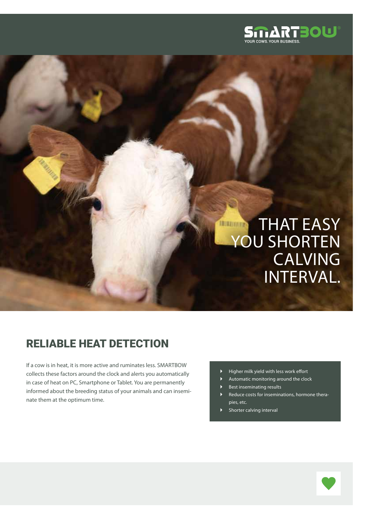

## **THAT EASY** Managers YOU SHORTEN **CALVING** INTERVAL.

## **RELIABLE HEAT DETECTION**

If a cow is in heat, it is more active and ruminates less. SMARTBOW collects these factors around the clock and alerts you automatically in case of heat on PC, Smartphone or Tablet. You are permanently informed about the breeding status of your animals and can inseminate them at the optimum time.

- ` Higher milk yield with less work effort
- ` Automatic monitoring around the clock
- Best inseminating results
- Reduce costs for inseminations, hormone therapies, etc.
- Shorter calving interval

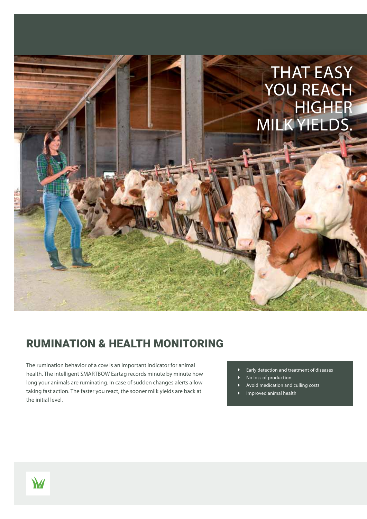

## RUMINATION & HEALTH MONITORING

The rumination behavior of a cow is an important indicator for animal health. The intelligent SMARTBOW Eartag records minute by minute how long your animals are ruminating. In case of sudden changes alerts allow taking fast action. The faster you react, the sooner milk yields are back at the initial level.

- ` Early detection and treatment of diseases
- No loss of production
- ` Avoid medication and culling costs
- ` Improved animal health

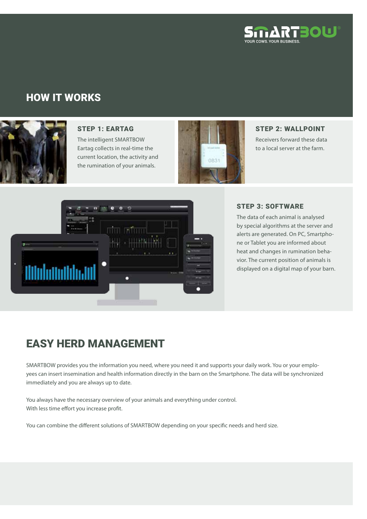

#### HOW IT WORKS



#### STEP 1: EARTAG

The intelligent SMARTBOW Eartag collects in real-time the current location, the activity and the rumination of your animals.



#### STEP 2: WALLPOINT

Receivers forward these data to a local server at the farm.



#### STEP 3: SOFTWARE

The data of each animal is analysed by special algorithms at the server and alerts are generated. On PC, Smartphone or Tablet you are informed about heat and changes in rumination behavior. The current position of animals is displayed on a digital map of your barn.

### EASY HERD MANAGEMENT

SMARTBOW provides you the information you need, where you need it and supports your daily work. You or your employees can insert insemination and health information directly in the barn on the Smartphone. The data will be synchronized immediately and you are always up to date.

You always have the necessary overview of your animals and everything under control. With less time effort you increase profit.

You can combine the different solutions of SMARTBOW depending on your specific needs and herd size.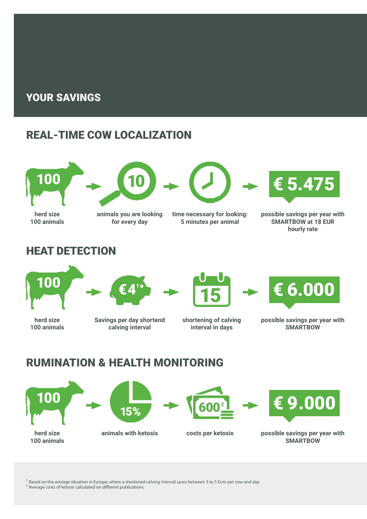#### YOUR SAVINGS

## REAL-TIME COW LOCALIZATION



**100 animals**



#### **animals you are looking for every day**

**time necessary for looking: 5 minutes per animal**



**possible savings per year with SMARTBOW at 18 EUR hourly rate**

## **HEAT DETECTION**



**herd size 100 animals**







**shortening of calving interval in days**



**possible savings per year with SMARTBOW**

## RUMINATION & HEALTH MONITORING

**Savings per day shortend calving interval**









**animals with ketosis costs per ketosis possible savings per year with SMARTBOW**

<sup>1</sup> Based on the average situation in Europe, where a shortened calving interval saves between 3 to 5 Euro per cow and day.

² Average costs of ketosis calculated on different publications.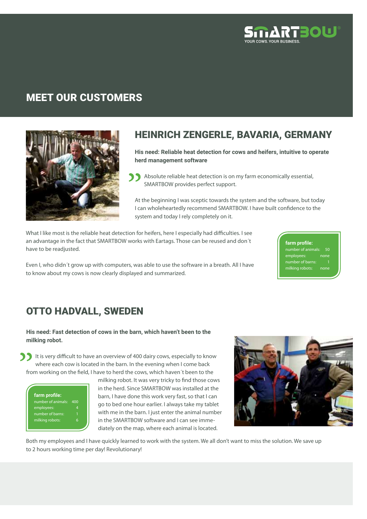

### MEET OUR customers



#### Heinrich Zengerle, BAVARIA, GERMANY

**His need: Reliable heat detection for cows and heifers, intuitive to operate herd management software**

Absolute reliable heat detection is on my farm economically essential, SMARTBOW provides perfect support.

At the beginning I was sceptic towards the system and the software, but today I can wholeheartedly recommend SMARTBOW. I have built confidence to the system and today I rely completely on it.

What I like most is the reliable heat detection for heifers, here I especially had difficulties. I see an advantage in the fact that SMARTBOW works with Eartags. Those can be reused and don´t have to be readjusted.

Even I, who didn´t grow up with computers, was able to use the software in a breath. All I have to know about my cows is now clearly displayed and summarized.

**farm profile:** none number of barns: milking robots: none

### **OTTO HADVALL, SWEDEN**

**His need: Fast detection of cows in the barn, which haven't been to the milking robot.** 

It is very difficult to have an overview of 400 dairy cows, especially to know where each cow is located in the barn. In the evening when I come back from working on the field, I have to herd the cows, which haven´t been to the

**farm profile:** number of animals: 400 employees: 4 number of barns: 1 milking robots: 6

milking robot. It was very tricky to find those cows in the herd. Since SMARTBOW was installed at the barn, I have done this work very fast, so that I can go to bed one hour earlier. I always take my tablet with me in the barn. I just enter the animal number in the SMARTBOW software and I can see immediately on the map, where each animal is located.



Both my employees and I have quickly learned to work with the system. We all don't want to miss the solution. We save up to 2 hours working time per day! Revolutionary!